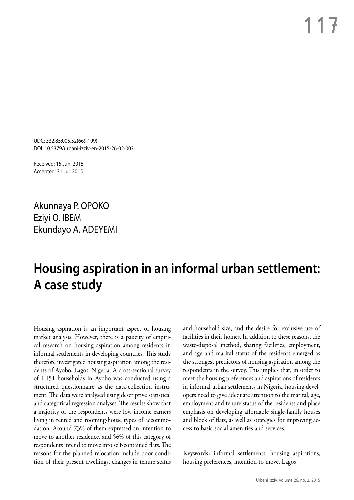UDC: 332.85:005.52(669.199) DOI: 10.5379/urbani-izziv-en-2015-26-02-003

Received: 15 Jun. 2015 Accepted: 31 Jul. 2015

Akunnaya P. OPOKO Eziyi O. IBEM Ekundayo A. ADEYEMI

# **Housing aspiration in an informal urban settlement: A case study**

Housing aspiration is an important aspect of housing market analysis. However, there is a paucity of empirical research on housing aspiration among residents in informal settlements in developing countries. This study therefore investigated housing aspiration among the residents of Ayobo, Lagos, Nigeria. A cross-sectional survey of 1,151 households in Ayobo was conducted using a structured questionnaire as the data-collection instrument. The data were analysed using descriptive statistical and categorical regression analyses. The results show that a majority of the respondents were low-income earners living in rented and rooming-house types of accommodation. Around 73% of them expressed an intention to move to another residence, and 56% of this category of respondents intend to move into self-contained flats. The reasons for the planned relocation include poor condition of their present dwellings, changes in tenure status

and household size, and the desire for exclusive use of facilities in their homes. In addition to these reasons, the waste-disposal method, sharing facilities, employment, and age and marital status of the residents emerged as the strongest predictors of housing aspiration among the respondents in the survey. This implies that, in order to meet the housing preferences and aspirations of residents in informal urban settlements in Nigeria, housing developers need to give adequate attention to the marital, age, employment and tenure status of the residents and place emphasis on developing affordable single-family houses and block of flats, as well as strategies for improving access to basic social amenities and services.

Keywords: informal settlements, housing aspirations, housing preferences, intention to move, Lagos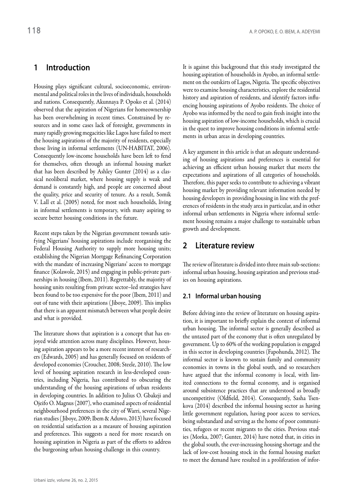# **1 Introduction**

Housing plays significant cultural, socioeconomic, environmental and political roles in the lives of individuals, households and nations. Consequently, Akunnaya P. Opoko et al. (2014) observed that the aspiration of Nigerians for homeownership has been overwhelming in recent times. Constrained by resources and in some cases lack of foresight, governments in many rapidly growing megacities like Lagos have failed to meet the housing aspirations of the majority of residents, especially those living in informal settlements (UN-HABITAT, 2006). Consequently low-income households have been left to fend for themselves, often through an informal housing market that has been described by Ashley Gunter (2014) as a classical neoliberal market, where housing supply is weak and demand is constantly high, and people are concerned about the quality, price and security of tenure. As a result, Somik V. Lall et al. (2005) noted, for most such households, living in informal settlements is temporary, with many aspiring to secure better housing conditions in the future.

Recent steps taken by the Nigerian government towards satisfying Nigerians' housing aspirations include reorganising the Federal Housing Authority to supply more housing units; establishing the Nigerian Mortgage Refinancing Corporation with the mandate of increasing Nigerians' access to mortgage finance (Kolawole, 2015) and engaging in public-private partnerships in housing (Ibem, 2011). Regrettably, the majority of housing units resulting from private sector–led strategies have been found to be too expensive for the poor (Ibem, 2011) and out of tune with their aspirations ( Jiboye, 2009). This implies that there is an apparent mismatch between what people desire and what is provided.

The literature shows that aspiration is a concept that has enjoyed wide attention across many disciplines. However, housing aspiration appears to be a more recent interest of researchers (Edwards, 2005) and has generally focused on residents of developed economies (Croucher, 2008; Steele, 2010). The low level of housing aspiration research in less-developed countries, including Nigeria, has contributed to obscuring the understanding of the housing aspirations of urban residents in developing countries. In addition to Julius O. Gbakeji and Ojeifo O. Magnus (2007), who examined aspects of residential neighbourhood preferences in the city of Warri, several Nigerian studies ( Jiboye, 2009; Ibem & Aduwo, 2013) have focused on residential satisfaction as a measure of housing aspiration and preferences. This suggests a need for more research on housing aspiration in Nigeria as part of the efforts to address the burgeoning urban housing challenge in this country.

It is against this background that this study investigated the housing aspiration of households in Ayobo, an informal settlement on the outskirts of Lagos, Nigeria. The specific objectives were to examine housing characteristics, explore the residential history and aspiration of residents, and identify factors influencing housing aspirations of Ayobo residents. The choice of Ayobo was informed by the need to gain fresh insight into the housing aspiration of low-income households, which is crucial in the quest to improve housing conditions in informal settlements in urban areas in developing countries.

A key argument in this article is that an adequate understanding of housing aspirations and preferences is essential for achieving an efficient urban housing market that meets the expectations and aspirations of all categories of households. Therefore, this paper seeks to contribute to achieving a vibrant housing market by providing relevant information needed by housing developers in providing housing in line with the preferences of residents in the study area in particular, and in other informal urban settlements in Nigeria where informal settlement housing remains a major challenge to sustainable urban growth and development.

# **2 Literature review**

The review of literature is divided into three main sub-sections: informal urban housing, housing aspiration and previous studies on housing aspirations.

# **2.1 Informal urban housing**

Before delving into the review of literature on housing aspiration, it is important to briefly explain the context of informal urban housing. The informal sector is generally described as the untaxed part of the economy that is often unregulated by government. Up to 60% of the working population is engaged in this sector in developing countries (Fapohunda, 2012). The informal sector is known to sustain family and community economies in towns in the global south, and so researchers have argued that the informal economy is local, with limited connections to the formal economy, and is organised around subsistence practices that are understood as broadly uncompetitive (Oldfield, 2014). Consequently, Sasha Tsenkova (2014) described the informal housing sector as having little government regulation, having poor access to services, being substandard and serving as the home of poor communities, refugees or recent migrants to the cities. Previous studies (Morka, 2007; Gunter, 2014) have noted that, in cities in the global south, the ever-increasing housing shortage and the lack of low-cost housing stock in the formal housing market to meet the demand have resulted in a proliferation of infor-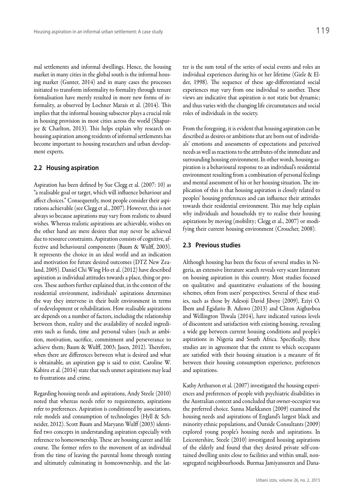mal settlements and informal dwellings. Hence, the housing market in many cities in the global south is the informal housing market (Gunter, 2014) and in many cases the processes initiated to transform informality to formality through tenure formalisation have merely resulted in more new forms of informality, as observed by Lochner Marais et al. (2014). This implies that the informal housing subsector plays a crucial role in housing provision in most cities across the world (Shapurjee & Charlton, 2013). This helps explain why research on housing aspiration among residents of informal settlements has become important to housing researchers and urban development experts.

#### **2.2 Housing aspiration**

Aspiration has been defined by Sue Clegg et al. (2007: 10) as "a realisable goal or target, which will influence behaviour and affect choices." Consequently, most people consider their aspirations achievable (see Clegg et al., 2007). However, this is not always so because aspirations may vary from realistic to absurd wishes. Whereas realistic aspirations are achievable, wishes on the other hand are mere desires that may never be achieved due to resource constraints. Aspiration consists of cognitive, affective and behavioural components (Baum & Wulff, 2003). It represents the choice in an ideal world and an indication and motivation for future desired outcomes (DTZ New Zealand, 2005). Daniel Chi Wing Ho et al. (2012) have described aspiration as individual attitudes towards a place, thing or process. These authors further explained that, in the context of the residential environment, individuals' aspirations determines the way they intervene in their built environment in terms of redevelopment or rehabilitation. How realisable aspirations are depends on a number of factors, including the relationship between them, reality and the availability of needed ingredients such as funds, time and personal values (such as ambition, motivation, sacrifice, commitment and perseverance to achieve them; Baum & Wulff, 2003; Jasen, 2012). Therefore, when there are differences between what is desired and what is obtainable, an aspiration gap is said to exist. Caroline W. Kabiru et al. (2014) state that such unmet aspirations may lead to frustrations and crime.

Regarding housing needs and aspirations, Andy Steele (2010) noted that whereas needs refer to requirements, aspirations refer to preferences. Aspiration is conditioned by associations, role models and consumption of technologies (Hyll & Schneider, 2012). Scott Baum and Maryann Wulff (2003) identified two concepts in understanding aspiration especially with reference to homeownership. These are housing career and life course. The former refers to the movement of an individual from the time of leaving the parental home through renting and ultimately culminating in homeownership, and the latter is the sum total of the series of social events and roles an individual experiences during his or her lifetime (Giele & Elder, 1998). The sequence of these age-differentiated social experiences may vary from one individual to another. These views are indicative that aspiration is not static but dynamic; and thus varies with the changing life circumstances and social roles of individuals in the society.

From the foregoing, it is evident that housing aspiration can be described as desires or ambitions that are born out of individuals' emotions and assessments of expectations and perceived needs as well as reactions to the attributes of the immediate and surrounding housing environment. In other words, housing aspiration is a behavioural response to an individual's residential environment resulting from a combination of personal feelings and mental assessment of his or her housing situation. The implication of this is that housing aspiration is closely related to peoples' housing preferences and can influence their attitudes towards their residential environment. This may help explain why individuals and households try to realise their housing aspirations by moving (mobility; Clegg et al., 2007) or modifying their current housing environment (Croucher, 2008).

### **2.3 Previous studies**

Although housing has been the focus of several studies in Nigeria, an extensive literature search reveals very scant literature on housing aspiration in this country. Most studies focused on qualitative and quantitative evaluations of the housing schemes, often from users' perspectives. Several of these studies, such as those by Adesoji David Jiboye (2009), Eziyi O. Ibem and Egidario B. Aduwo (2013) and Cliton Aigbavboa and Wellington Thwala (2014), have indicated various levels of discontent and satisfaction with existing housing, revealing a wide gap between current housing conditions and people's aspirations in Nigeria and South Africa. Specifically, these studies are in agreement that the extent to which occupants are satisfied with their housing situation is a measure of fit between their housing consumption experience, preferences and aspirations.

Kathy Arthurson et al. (2007) investigated the housing experiences and preferences of people with psychiatric disabilities in the Australian context and concluded that owner-occupier was the preferred choice. Sanna Markkanen (2009) examined the housing needs and aspirations of England's largest black and minority ethnic populations, and Outside Consultants (2009) explored young people's housing needs and aspirations. In Leicestershire, Steele (2010) investigated housing aspirations of the elderly and found that they desired private self-contained dwelling units close to facilities and within small, nonsegregated neighbourhoods. Burmaa Jamiyansuren and Dana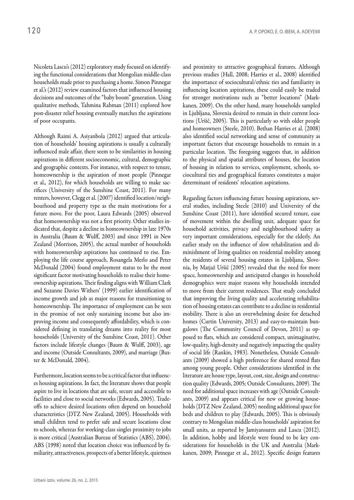Nicoleta Lascu's (2012) exploratory study focused on identifying the functional considerations that Mongolian middle-class households made prior to purchasing a home. Simon Pinnegar et al.'s (2012) review examined factors that influenced housing decisions and outcomes of the "baby boom" generation. Using qualitative methods, Tahmina Rahman (2011) explored how post-disaster relief housing eventually matches the aspirations of poor occupants.

Although Raimi A. Asiyanbola (2012) argued that articulation of households' housing aspirations is usually a culturally influenced male affair, there seem to be similarities in housing aspirations in different socioeconomic, cultural, demographic and geographic contexts. For instance, with respect to tenure, homeownership is the aspiration of most people (Pinnegar et al.*,* 2012), for which households are willing to make sacrifices (University of the Sunshine Coast, 2011). For many renters, however, Clegg et al. (2007) identified location/neighbourhood and property type as the main motivations for a future move. For the poor, Laura Edwards (2005) observed that homeownership was not a first priority. Other studies indicated that, despite a decline in homeownership in late 1970s in Australia (Baum & Wulff, 2003) and since 1991 in New Zealand (Morrison, 2005), the actual number of households with homeownership aspirations has continued to rise. Employing the life course approach, Rosangela Merlo and Peter McDonald (2004) found employment status to be the most significant factor motivating households to realise their homeownership aspirations. Their finding aligns with William Clark and Suzanne Davies Withers' (1999) earlier identification of income growth and job as major reasons for transitioning to homeownership. The importance of employment can be seen in the promise of not only sustaining income but also improving income and consequently affordability, which is considered defining in translating dreams into reality for most households (University of the Sunshine Coast, 2011). Other factors include lifestyle changes (Baum & Wulff, 2003), age and income (Outside Consultants, 2009), and marriage (Baxter & McDonald, 2004).

Furthermore, location seems to be a critical factor that influences housing aspirations. In fact, the literature shows that people aspire to live in locations that are safe, secure and accessible to facilities and close to social networks (Edwards, 2005). Tradeoffs to achieve desired locations often depend on household characteristics (DTZ New Zealand, 2005). Households with small children tend to prefer safe and secure locations close to schools, whereas for working-class singles proximity to jobs is more critical (Australian Bureau of Statistics (ABS), 2004). ABS (1998) noted that location choice was influenced by familiarity, attractiveness, prospects of a better lifestyle, quietness and proximity to attractive geographical features. Although previous studies (Hall, 2008; Harries et al., 2008) identified the importance of sociocultural/ethnic ties and familiarity in influencing location aspirations, these could easily be traded for stronger motivations such as "better locations" (Markkanen, 2009). On the other hand, many households sampled in Ljubljana, Slovenia desired to remain in their current locations (Uršič, 2005). This is particularly so with older people and homeowners (Steele, 2010). Bethan Harries et al. (2008) also identified social networking and sense of community as important factors that encourage households to remain in a particular location. The foregoing suggests that, in addition to the physical and spatial attributes of houses, the location of housing in relation to services, employment, schools, sociocultural ties and geographical features constitutes a major determinant of residents' relocation aspirations.

Regarding factors influencing future housing aspirations, several studies, including Steele (2010) and University of the Sunshine Coast (2011), have identified secured tenure, ease of movement within the dwelling unit, adequate space for household activities, privacy and neighbourhood safety as very important considerations, especially for the elderly. An earlier study on the influence of slow rehabilitation and diminishment of living qualities on residential mobility among the residents of several housing estates in Ljubljana, Slovenia, by Matjaž Uršič (2005) revealed that the need for more space, homeownership and anticipated changes in household demographics were major reasons why households intended to move from their current residences. That study concluded that improving the living quality and accelerating rehabilitation of housing estates can contribute to a decline in residential mobility. There is also an overwhelming desire for detached homes (Curtin University, 2013) and easy-to-maintain bungalows (The Community Council of Devon, 2011) as opposed to flats, which are considered compact, unimaginative, low-quality, high-density and negatively impacting the quality of social life (Rankin, 1983). Nonetheless, Outside Consultants (2009) showed a high preference for shared rented flats among young people. Other considerations identified in the literature are house type, layout, cost, size, design and construction quality (Edwards, 2005; Outside Consultants, 2009). The need for additional space increases with age (Outside Consultants, 2009) and appears critical for new or growing households (DTZ New Zealand, 2005) needing additional space for beds and children to play (Edwards, 2005). This is obviously contrary to Mongolian middle-class households' aspiration for small units, as reported by Jamiyansuren and Lascu (2012). In addition, hobby and lifestyle were found to be key considerations for households in the UK and Australia (Markkanen, 2009; Pinnegar et al., 2012). Specific design features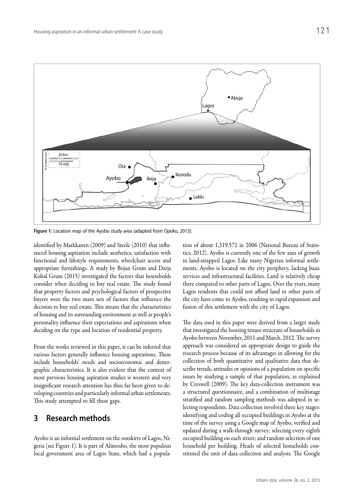

**Figure 1:** Location map of the Ayobo study area (adapted from Opoko, 2013).

identified by Markkanen (2009) and Steele (2010) that influenced housing aspiration include aesthetics, satisfaction with functional and lifestyle requirements, wheelchair access and appropriate furnishings. A study by Bojan Grum and Darja Kobal Grum (2015) investigated the factors that households consider when deciding to buy real estate. The study found that property factors and psychological factors of prospective buyers were the two main sets of factors that influence the decision to buy real estate. This means that the characteristics of housing and its surrounding environment as well as people's personality influence their expectations and aspirations when deciding on the type and location of residential property.

From the works reviewed in this paper, it can be inferred that various factors generally influence housing aspirations. These include households' needs and socioeconomic and demographic characteristics. It is also evident that the context of most previous housing aspiration studies is western and very insignificant research attention has thus far been given to developing countries and particularly informal urban settlements. This study attempted to fill these gaps.

# **3 Research methods**

Ayobo is an informal settlement on the outskirts of Lagos, Nigeria (see Figure 1). It is part of Alimosho, the most populous local government area of Lagos State, which had a population of about 1,319,571 in 2006 (National Bureau of Statistics, 2012). Ayobo is currently one of the few axes of growth in land-strapped Lagos. Like many Nigerian informal settlements, Ayobo is located on the city periphery, lacking basic services and infrastructural facilities. Land is relatively cheap there compared to other parts of Lagos. Over the years, many Lagos residents that could not afford land in other parts of the city have come to Ayobo, resulting in rapid expansion and fusion of this settlement with the city of Lagos.

The data used in this paper were derived from a larger study that investigated the housing tenure structure of households in Ayobo between November, 2011 and March, 2012. The survey approach was considered an appropriate design to guide the research process because of its advantages in allowing for the collection of both quantitative and qualitative data that describe trends, attitudes or opinions of a population on specific issues by studying a sample of that population, as explained by Creswell (2009). The key data-collection instrument was a structured questionnaire, and a combination of multistage stratified and random sampling methods was adopted in selecting respondents. Data collection involved three key stages: identifying and coding all occupied buildings in Ayobo at the time of the survey using a Google map of Ayobo, verified and updated during a walk-through survey; selecting every eighth occupied building on each street; and random selection of one household per building. Heads of selected households constituted the unit of data collection and analysis. The Google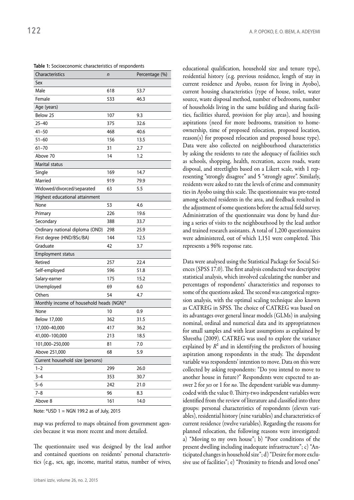**Table 1:** Socioeconomic characteristics of respondents

| Characteristics                          | n   | Percentage (%) |  |  |
|------------------------------------------|-----|----------------|--|--|
| Sex                                      |     |                |  |  |
| Male                                     | 618 | 53.7           |  |  |
| Female                                   | 533 | 46.3           |  |  |
| Age (years)                              |     |                |  |  |
| Below 25                                 | 107 | 9.3            |  |  |
| $25 - 40$                                | 375 | 32.6           |  |  |
| $41 - 50$                                | 468 | 40.6           |  |  |
| $51 - 60$                                | 156 | 13.5           |  |  |
| $61 - 70$                                | 31  | 2.7            |  |  |
| Above 70                                 | 14  | 1.2            |  |  |
| Marital status                           |     |                |  |  |
| Single                                   | 169 | 14.7           |  |  |
| Married                                  | 919 | 79.9           |  |  |
| Widowed/divorced/separated               | 63  | 5.5            |  |  |
| Highest educational attainment           |     |                |  |  |
| None                                     | 53  | 4.6            |  |  |
| Primary                                  | 226 | 19.6           |  |  |
| Secondary                                | 388 | 33.7           |  |  |
| Ordinary national diploma (OND)          | 298 | 25.9           |  |  |
| First degree (HND/BSc/BA)                | 144 | 12.5           |  |  |
| Graduate                                 | 42  | 3.7            |  |  |
| Employment status                        |     |                |  |  |
| Retired                                  | 257 | 22.4           |  |  |
| Self-employed                            | 596 | 51.8           |  |  |
| Salary-earner                            | 175 | 15.2           |  |  |
| Unemployed                               | 69  | 6.0            |  |  |
| Others                                   | 54  | 4.7            |  |  |
| Monthly income of household heads (NGN)* |     |                |  |  |
| None                                     | 10  | 0.9            |  |  |
| Below 17,000                             | 362 | 31.5           |  |  |
| 17,000-40,000                            | 417 | 36.2           |  |  |
| 41,000-100,000                           | 213 | 18.5           |  |  |
| 101,000-250,000                          | 81  | 7.0            |  |  |
| Above 251,000                            | 68  | 5.9            |  |  |
| Current household size (persons)         |     |                |  |  |
| $1 - 2$                                  | 299 | 26.0           |  |  |
| $3 - 4$                                  | 353 | 30.7           |  |  |
| $5 - 6$                                  | 242 | 21.0           |  |  |
| $7 - 8$                                  | 96  | 8.3            |  |  |
| Above 8                                  | 161 | 14.0           |  |  |

Note: \*USD 1 = NGN 199.2 as of July, 2015

map was preferred to maps obtained from government agencies because it was more recent and more detailed.

The questionnaire used was designed by the lead author and contained questions on residents' personal characteristics (e.g., sex, age, income, marital status, number of wives,

educational qualification, household size and tenure type), residential history (e.g. previous residence, length of stay in current residence and Ayobo, reason for living in Ayobo), current housing characteristics (type of house, toilet, water source, waste disposal method, number of bedrooms, number of households living in the same building and sharing facilities, facilities shared, provision for play areas), and housing aspirations (need for more bedrooms, transition to homeownership, time of proposed relocation, proposed location, reason(s) for proposed relocation and proposed house type). Data were also collected on neighbourhood characteristics by asking the residents to rate the adequacy of facilities such as schools, shopping, health, recreation, access roads, waste disposal, and streetlights based on a Likert scale, with 1 representing "strongly disagree" and 5 "strongly agree". Similarly, residents were asked to rate the levels of crime and community ties in Ayobo using this scale. The questionnaire was pre-tested among selected residents in the area, and feedback resulted in the adjustment of some questions before the actual field survey. Administration of the questionnaire was done by hand during a series of visits to the neighbourhood by the lead author and trained research assistants. A total of 1,200 questionnaires were administered, out of which 1,151 were completed. This represents a 96% response rate.

Data were analysed using the Statistical Package for Social Sciences (SPSS 17.0). The first analysis conducted was descriptive statistical analysis, which involved calculating the number and percentages of respondents' characteristics and responses to some of the questions asked. The second was categorical regression analysis, with the optimal scaling technique also known as CATREG in SPSS. The choice of CATREG was based on its advantages over general linear models (GLMs) in analysing nominal, ordinal and numerical data and its appropriateness for small samples and with least assumptions as explained by Shrestha (2009). CATREG was used to explore the variance explained by  $R^2$  and in identifying the predictors of housing aspiration among respondents in the study. The dependent variable was respondents' intention to move. Data on this were collected by asking respondents: "Do you intend to move to another house in future?" Respondents were expected to answer 2 for *yes* or 1 for *no*. The dependent variable was dummycoded with the value 0. Thirty-two independent variables were identified from the review of literature and classified into three groups: personal characteristics of respondents (eleven variables), residential history (nine variables) and characteristics of current residence (twelve variables). Regarding the reasons for planned relocation, the following reasons were investigated: a) "Moving to my own house"; b) "Poor conditions of the present dwelling including inadequate infrastructure"; c) "Anticipated changes in household size"; d) "Desire for more exclusive use of facilities"; e) "Proximity to friends and loved ones"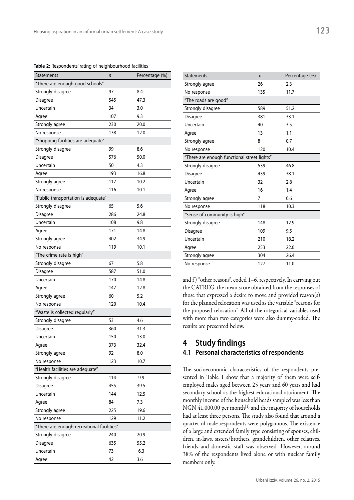**Table 2:** Respondents' rating of neighbourhood facilities

| <b>Statements</b>                          | n         | Percentage (%) |  |  |
|--------------------------------------------|-----------|----------------|--|--|
| "There are enough good schools"            |           |                |  |  |
| Strongly disagree                          | 97        | 8.4            |  |  |
| Disagree                                   | 545       | 47.3           |  |  |
| Uncertain                                  | 34        | 3.0            |  |  |
| Agree                                      | 107       | 9.3            |  |  |
| Strongly agree                             | 230       | 20.0           |  |  |
| No response                                | 138       | 12.0           |  |  |
| "Shopping facilities are adequate"         |           |                |  |  |
| Strongly disagree                          | 99<br>8.6 |                |  |  |
| Disagree                                   | 576       | 50.0           |  |  |
| Uncertain                                  | 50        | 4.3            |  |  |
| Agree                                      | 193       | 16.8           |  |  |
| Strongly agree                             | 117       | 10.2           |  |  |
| No response                                | 116       | 10.1           |  |  |
| "Public transportation is adequate"        |           |                |  |  |
| Strongly disagree                          | 65        | 5.6            |  |  |
| Disagree                                   | 286       | 24.8           |  |  |
| Uncertain                                  | 108       | 9.8            |  |  |
| Agree                                      | 171       | 14.8           |  |  |
| Strongly agree                             | 402       | 34.9           |  |  |
| No response                                | 119       | 10.1           |  |  |
| "The crime rate is high"                   |           |                |  |  |
| Strongly disagree                          | 67        | 5.8            |  |  |
| Disagree                                   | 587       | 51.0           |  |  |
| Uncertain                                  | 170       | 14.8           |  |  |
| Agree                                      | 147       | 12.8           |  |  |
| Strongly agree                             | 60        | 5.2            |  |  |
| No response                                | 120       | 10.4           |  |  |
| "Waste is collected regularly"             |           |                |  |  |
| Strongly disagree                          | 53        | 4.6            |  |  |
| Disagree                                   | 360       | 31.3           |  |  |
| Uncertain                                  | 150       | 13.0           |  |  |
| Agree                                      | 373       | 32.4           |  |  |
| Strongly agree                             | 92        | 8.0            |  |  |
| No response                                | 123       | 10.7           |  |  |
| "Health facilities are adequate"           |           |                |  |  |
| Strongly disagree                          | 114       | 9.9            |  |  |
| Disagree                                   | 455       | 39.5           |  |  |
| Uncertain                                  | 144       | 12.5           |  |  |
| Agree                                      | 84        | 7.3            |  |  |
| Strongly agree                             | 225       | 19.6           |  |  |
| No response                                | 129       | 11.2           |  |  |
| "There are enough recreational facilities" |           |                |  |  |
| Strongly disagree                          | 240       | 20.9           |  |  |
| Disagree                                   | 635       | 55.2           |  |  |
| Uncertain                                  | 73        | 6.3            |  |  |
| Agree                                      | 42        | 3.6            |  |  |
|                                            |           |                |  |  |

| <b>Statements</b>                           | $\mathsf{n}$   | Percentage (%) |  |
|---------------------------------------------|----------------|----------------|--|
| Strongly agree                              | 26             | 2.3            |  |
| No response                                 | 135            | 11.7           |  |
| "The roads are good"                        |                |                |  |
| Strongly disagree                           | 589            | 51.2           |  |
| Disagree                                    | 381            | 33.1           |  |
| Uncertain                                   | 40             | 3.5            |  |
| Agree                                       | 13             | 1.1            |  |
| Strongly agree                              | 8              | 0.7            |  |
| No response                                 | 120            | 10.4           |  |
| "There are enough functional street lights" |                |                |  |
| Strongly disagree                           | 539            | 46.8           |  |
| Disagree                                    | 439            | 38.1           |  |
| Uncertain                                   | 32             | 2.8            |  |
| Agree                                       | 16             | 1.4            |  |
| Strongly agree                              | $\overline{7}$ | 0.6            |  |
| No response                                 | 118            | 10.3           |  |
| "Sense of community is high"                |                |                |  |
| Strongly disagree                           | 148            | 12.9           |  |
| Disagree                                    | 109            | 9.5            |  |
| Uncertain                                   | 210            | 18.2           |  |
| Agree                                       | 253            | 22.0           |  |
| Strongly agree                              | 304            | 26.4           |  |
| No response                                 | 127            | 11.0           |  |

and  $f$ ) "other reasons", coded 1–6, respectively. In carrying out the CATREG, the mean score obtained from the responses of those that expressed a desire to move and provided reason(s) for the planned relocation was used as the variable "reasons for the proposed relocation". All of the categorical variables used with more than two categories were also dummy-coded. The results are presented below.

## **4 Study findings**

## **4.1 Personal characteristics of respondents**

The socioeconomic characteristics of the respondents presented in Table 1 show that a majority of them were selfemployed males aged between 25 years and 60 years and had secondary school as the highest educational attainment. The monthly income of the household heads sampled was less than NGN 41,000.00 per month<sup>[1]</sup> and the majority of households had at least three persons. The study also found that around a quarter of male respondents were polygamous. The existence of a large and extended family type consisting of spouses, children, in-laws, sisters/brothers, grandchildren, other relatives, friends and domestic staff was observed. However, around 38% of the respondents lived alone or with nuclear family members only.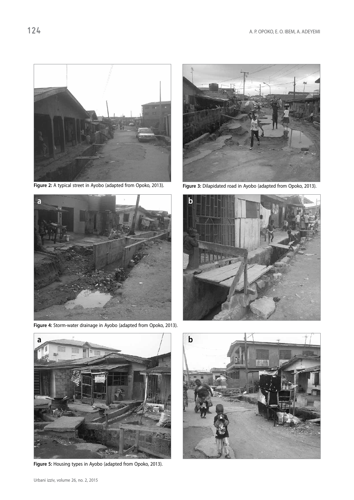

Figure 2: A typical street in Ayobo (adapted from Opoko, 2013). **Figure 3:** Dilapidated road in Ayobo (adapted from Opoko, 2013).



**Figure 4:** Storm-water drainage in Ayobo (adapted from Opoko, 2013).







**Figure 5:** Housing types in Ayobo (adapted from Opoko, 2013).

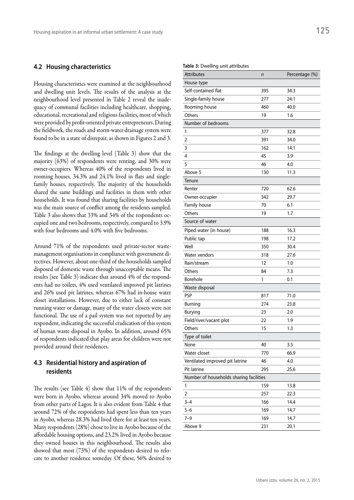#### **4.2 Housing characteristics**

Housing characteristics were examined at the neighbourhood and dwelling unit levels. The results of the analysis at the neighbourhood level presented in Table 2 reveal the inadequacy of communal facilities including healthcare, shopping, educational, recreational and religious facilities, most of which were provided by profit-oriented private entrepreneurs. During the fieldwork, the roads and storm-water drainage system were found to be in a state of disrepair, as shown in Figures 2 and 3.

The findings at the dwelling level (Table 3) show that the majority (63%) of respondents were renting, and 30% were owner-occupiers. Whereas 40% of the respondents lived in rooming houses, 34.3% and 24.1% lived in flats and singlefamily houses, respectively. The majority of the households shared the same buildings and facilities in them with other households. It was found that sharing facilities by households was the main source of conflict among the residents sampled. Table 3 also shows that 33% and 34% of the respondents occupied one and two bedrooms, respectively, compared to 3.9% with four bedrooms and 4.0% with five bedrooms.

Around 71% of the respondents used private-sector wastemanagement organisations in compliance with government directives. However, about one-third of the households sampled disposed of domestic waste through unacceptable means. The results (see Table 3) indicate that around 4% of the respondents had no toilets, 4% used ventilated improved pit latrines and 26% used pit latrines, whereas 67% had in-house water closet installations. However, due to either lack of constant running water or damage, many of the water closets were not functional. The use of a pail system was not reported by any respondent, indicating the successful eradication of this system of human waste disposal in Ayobo. In addition, around 65% of respondents indicated that play areas for children were not provided around their residences.

## **4.3 Residential history and aspiration of residents**

The results (see Table 4) show that 11% of the respondents were born in Ayobo, whereas around 34% moved to Ayobo from other parts of Lagos. It is also evident from Table 4 that around 72% of the respondents had spent less than ten years in Ayobo, whereas 28.3% had lived there for at least ten years. Many respondents (28%) chose to live in Ayobo because of the affordable housing options, and 23.2% lived in Ayobo because they owned houses in this neighbourhood. The results also showed that most (73%) of the respondents desired to relocate to another residence someday. Of these, 56% desired to

#### **Table 3:** Dwelling unit attributes

| <b>Attributes</b>                       | n   | Percentage (%) |
|-----------------------------------------|-----|----------------|
| House type                              |     |                |
| Self-contained flat                     | 395 | 34.3           |
| Single-family house                     | 277 | 24.1           |
| Rooming house                           | 460 | 40.0           |
| Others                                  | 19  | 1.6            |
| Number of bedrooms                      |     |                |
| 1                                       | 377 | 32.8           |
| 2                                       | 391 | 34.0           |
| 3                                       | 162 | 14.1           |
| 4                                       | 45  | 3.9            |
| 5                                       | 46  | 4.0            |
| Above 5                                 | 130 | 11.3           |
| Tenure                                  |     |                |
| Renter                                  | 720 | 62.6           |
| Owner-occupier                          | 342 | 29.7           |
| Family house                            | 70  | 6.1            |
| Others                                  | 19  | 1.7            |
| Source of water                         |     |                |
| Piped water (in house)                  | 188 | 16.3           |
| Public tap                              | 198 | 17.2           |
| Well                                    | 350 | 30.4           |
| Water vendors                           | 318 | 27.6           |
| Rain/stream                             | 12  | 1.0            |
| Others                                  | 84  | 7.3            |
| Borehole                                | 1   | 0.1            |
| Waste disposal                          |     |                |
| PSP                                     | 817 | 71.0           |
| Burning                                 | 274 | 23.8           |
| Burying                                 | 23  | 2.0            |
| Field/river/vacant plot                 | 22  | 1.9            |
| Others                                  | 15  | 1.3            |
| Type of toilet                          |     |                |
| None                                    | 40  | 3.5            |
| Water closet                            | 770 | 66.9           |
| Ventilated improved pit latrine         | 46  | 4.0            |
| Pit latrine                             | 295 | 25.6           |
| Number of households sharing facilities |     |                |
| 1                                       | 159 | 13.8           |
| 2                                       | 257 | 22.3           |
| $3 - 4$                                 | 166 | 14.4           |
| $5 - 6$                                 | 169 | 14.7           |
| $7 - 9$                                 | 169 | 14.7           |
| Above 9                                 | 231 | 20.1           |
|                                         |     |                |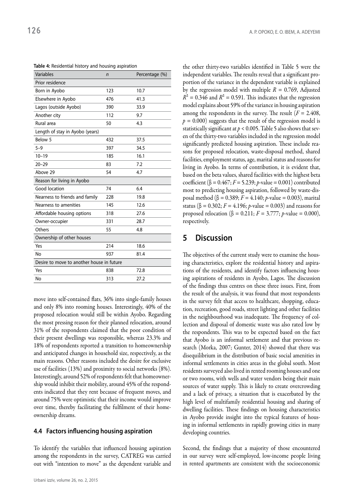| Variables                                 | n   | Percentage (%) |  |  |
|-------------------------------------------|-----|----------------|--|--|
| Prior residence                           |     |                |  |  |
| Born in Ayobo                             | 123 | 10.7           |  |  |
| Elsewhere in Ayobo                        | 476 | 41.3           |  |  |
| Lagos (outside Ayobo)                     | 390 | 33.9           |  |  |
| Another city                              | 112 | 9.7            |  |  |
| Rural area                                | 50  | 4.3            |  |  |
| Length of stay in Ayobo (years)           |     |                |  |  |
| Below 5                                   | 432 | 37.5           |  |  |
| $5 - 9$                                   | 397 | 34.5           |  |  |
| $10 - 19$                                 | 185 | 16.1           |  |  |
| $20 - 29$                                 | 83  | 7.2            |  |  |
| Above 29                                  | 54  | 4.7            |  |  |
| Reason for living in Ayobo                |     |                |  |  |
| Good location                             | 74  | 6.4            |  |  |
| Nearness to friends and family            | 228 | 19.8           |  |  |
| Nearness to amenities                     | 145 | 12.6           |  |  |
| Affordable housing options                | 318 | 27.6           |  |  |
| Owner-occupier                            | 331 | 28.7           |  |  |
| Others                                    | 55  | 4.8            |  |  |
| Ownership of other houses                 |     |                |  |  |
| Yes                                       | 214 | 18.6           |  |  |
| No                                        | 937 | 81.4           |  |  |
| Desire to move to another house in future |     |                |  |  |
| Yes                                       | 838 | 72.8           |  |  |
| <b>No</b>                                 | 313 | 27.2           |  |  |

**Table 4:** Residential history and housing aspiration

move into self-contained flats, 36% into single-family houses and only 8% into rooming houses. Interestingly, 40% of the proposed relocation would still be within Ayobo. Regarding the most pressing reason for their planned relocation, around 31% of the respondents claimed that the poor condition of their present dwellings was responsible, whereas 23.3% and 18% of respondents reported a transition to homeownership and anticipated changes in household size, respectively, as the main reasons. Other reasons included the desire for exclusive use of facilities (13%) and proximity to social networks (8%). Interestingly, around 52% of respondents felt that homeownership would inhibit their mobility, around 45% of the respondents indicated that they rent because of frequent moves, and around 75% were optimistic that their income would improve over time, thereby facilitating the fulfilment of their homeownership dreams.

## **4.4 Factors influencing housing aspiration**

To identify the variables that influenced housing aspiration among the respondents in the survey, CATREG was carried out with "intention to move" as the dependent variable and

the other thirty-two variables identified in Table 5 were the independent variables. The results reveal that a significant proportion of the variance in the dependent variable is explained by the regression model with multiple  $R = 0.769$ , Adjusted  $R<sup>2</sup> = 0.346$  and  $R<sup>2</sup> = 0.591$ . This indicates that the regression model explains about 59% of the variance in housing aspiration among the respondents in the survey. The result  $(F = 2.408,$  $p = 0.000$ ) suggests that the result of the regression model is statistically significant at  $p < 0.005$ . Table 5 also shows that seven of the thirty-two variables included in the regression model significantly predicted housing aspiration. These include reasons for proposed relocation, waste-disposal method, shared facilities, employment status, age, marital status and reasons for living in Ayobo. In terms of contribution, it is evident that, based on the beta values, shared facilities with the highest beta coefficient (β =  $0.467$ ; *F* = 5.239; *p*-value = 0.001) contributed most to predicting housing aspiration, followed by waste-disposal method (β = 0.389; *F* = 4.140; *p*-value = 0.003), marital status (β = 0.302; *F* = 4.196; *p*-value = 0.003) and reasons for proposed relocation (β = 0.211;  $F = 3.777$ ; *p*-value = 0.000), respectively.

# **5 Discussion**

The objectives of the current study were to examine the housing characteristics, explore the residential history and aspirations of the residents, and identify factors influencing housing aspirations of residents in Ayobo, Lagos. The discussion of the findings thus centres on these three issues. First, from the result of the analysis, it was found that most respondents in the survey felt that access to healthcare, shopping, education, recreation, good roads, street lighting and other facilities in the neighbourhood was inadequate. The frequency of collection and disposal of domestic waste was also rated low by the respondents. This was to be expected based on the fact that Ayobo is an informal settlement and that previous research (Morka, 2007; Gunter, 2014) showed that there was disequilibrium in the distribution of basic social amenities in informal settlements in cities areas in the global south. Most residents surveyed also lived in rented rooming houses and one or two rooms, with wells and water vendors being their main sources of water supply. This is likely to create overcrowding and a lack of privacy, a situation that is exacerbated by the high level of multifamily residential housing and sharing of dwelling facilities. These findings on housing characteristics in Ayobo provide insight into the typical features of housing in informal settlements in rapidly growing cities in many developing countries.

Second, the findings that a majority of those encountered in our survey were self-employed, low-income people living in rented apartments are consistent with the socioeconomic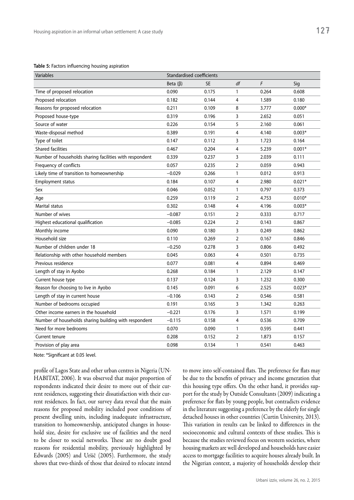**Table 5:** Factors influencing housing aspiration

| Variables                                               | Standardised coefficients |           |                |       |          |
|---------------------------------------------------------|---------------------------|-----------|----------------|-------|----------|
|                                                         | Beta $(\beta)$            | <b>SE</b> | df             | F     | Sig      |
| Time of proposed relocation                             | 0.090                     | 0.175     | 1              | 0.264 | 0.608    |
| Proposed relocation                                     | 0.182                     | 0.144     | 4              | 1.589 | 0.180    |
| Reasons for proposed relocation                         | 0.211                     | 0.109     | 8              | 3.777 | $0.000*$ |
| Proposed house-type                                     | 0.319                     | 0.196     | 3              | 2.652 | 0.051    |
| Source of water                                         | 0.226                     | 0.154     | 5              | 2.160 | 0.061    |
| Waste-disposal method                                   | 0.389                     | 0.191     | 4              | 4.140 | $0.003*$ |
| Type of toilet                                          | 0.147                     | 0.112     | 3              | 1.723 | 0.164    |
| <b>Shared facilities</b>                                | 0.467                     | 0.204     | 4              | 5.239 | $0.001*$ |
| Number of households sharing facilities with respondent | 0.339                     | 0.237     | 3              | 2.039 | 0.111    |
| Frequency of conflicts                                  | 0.057                     | 0.235     | 2              | 0.059 | 0.943    |
| Likely time of transition to homeownership              | $-0.029$                  | 0.266     | 1              | 0.012 | 0.913    |
| Employment status                                       | 0.184                     | 0.107     | 4              | 2.980 | $0.021*$ |
| Sex                                                     | 0.046                     | 0.052     | 1              | 0.797 | 0.373    |
| Age                                                     | 0.259                     | 0.119     | 2              | 4.753 | $0.010*$ |
| Marital status                                          | 0.302                     | 0.148     | 4              | 4.196 | $0.003*$ |
| Number of wives                                         | $-0.087$                  | 0.151     | $\overline{2}$ | 0.333 | 0.717    |
| Highest educational qualification                       | $-0.085$                  | 0.224     | $\overline{2}$ | 0.143 | 0.867    |
| Monthly income                                          | 0.090                     | 0.180     | 3              | 0.249 | 0.862    |
| Household size                                          | 0.110                     | 0.269     | 2              | 0.167 | 0.846    |
| Number of children under 18                             | $-0.250$                  | 0.278     | 3              | 0.806 | 0.492    |
| Relationship with other household members               | 0.045                     | 0.063     | 4              | 0.501 | 0.735    |
| Previous residence                                      | 0.077                     | 0.081     | 4              | 0.894 | 0.469    |
| Length of stay in Ayobo                                 | 0.268                     | 0.184     | $\mathbf{1}$   | 2.129 | 0.147    |
| Current house type                                      | 0.137                     | 0.124     | 3              | 1.232 | 0.300    |
| Reason for choosing to live in Ayobo                    | 0.145                     | 0.091     | 6              | 2.525 | $0.023*$ |
| Length of stay in current house                         | $-0.106$                  | 0.143     | $\overline{2}$ | 0.546 | 0.581    |
| Number of bedrooms occupied                             | 0.191                     | 0.165     | 3              | 1.342 | 0.263    |
| Other income earners in the household                   | $-0.221$                  | 0.176     | 3              | 1.571 | 0.199    |
| Number of households sharing building with respondent   | $-0.115$                  | 0.158     | 4              | 0.536 | 0.709    |
| Need for more bedrooms                                  | 0.070                     | 0.090     | 1              | 0.595 | 0.441    |
| Current tenure                                          | 0.208                     | 0.152     | 2              | 1.873 | 0.157    |
| Provision of play area                                  | 0.098                     | 0.134     | $\mathbf{1}$   | 0.541 | 0.463    |

Note: \*Significant at 0.05 level.

profile of Lagos State and other urban centres in Nigeria (UN-HABITAT, 2006). It was observed that major proportion of respondents indicated their desire to move out of their current residences, suggesting their dissatisfaction with their current residences. In fact, our survey data reveal that the main reasons for proposed mobility included poor conditions of present dwelling units, including inadequate infrastructure, transition to homeownership, anticipated changes in household size, desire for exclusive use of facilities and the need to be closer to social networks. These are no doubt good reasons for residential mobility, previously highlighted by Edwards (2005) and Uršič (2005). Furthermore, the study shows that two-thirds of those that desired to relocate intend to move into self-contained flats. The preference for flats may be due to the benefits of privacy and income generation that this housing type offers. On the other hand, it provides support for the study by Outside Consultants (2009) indicating a preference for flats by young people, but contradicts evidence in the literature suggesting a preference by the elderly for single detached houses in other countries (Curtin University, 2013). This variation in results can be linked to differences in the socioeconomic and cultural contexts of these studies. This is because the studies reviewed focus on western societies, where housing markets are well developed and households have easier access to mortgage facilities to acquire houses already built. In the Nigerian context, a majority of households develop their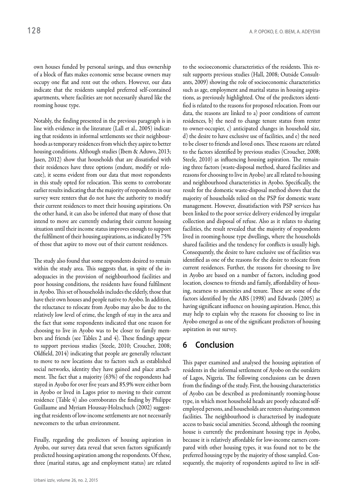own houses funded by personal savings, and thus ownership of a block of flats makes economic sense because owners may occupy one flat and rent out the others. However, our data indicate that the residents sampled preferred self-contained apartments, where facilities are not necessarily shared like the rooming house type.

Notably, the finding presented in the previous paragraph is in line with evidence in the literature (Lall et al., 2005) indicating that residents in informal settlements see their neighbourhoods as temporary residences from which they aspire to better housing conditions. Although studies (Ibem & Aduwo, 2013; Jasen, 2012) show that households that are dissatisfied with their residences have three options (endure, modify or relocate), it seems evident from our data that most respondents in this study opted for relocation. This seems to corroborate earlier results indicating that the majority of respondents in our survey were renters that do not have the authority to modify their current residences to meet their housing aspirations. On the other hand, it can also be inferred that many of those that intend to move are currently enduring their current housing situation until their income status improves enough to support the fulfilment of their housing aspirations, as indicated by 75% of those that aspire to move out of their current residences.

The study also found that some respondents desired to remain within the study area. This suggests that, in spite of the inadequacies in the provision of neighbourhood facilities and poor housing conditions, the residents have found fulfilment in Ayobo. This set of households includes the elderly, those that have their own houses and people native to Ayobo. In addition, the reluctance to relocate from Ayobo may also be due to the relatively low level of crime, the length of stay in the area and the fact that some respondents indicated that one reason for choosing to live in Ayobo was to be closer to family members and friends (see Tables 2 and 4). These findings appear to support previous studies (Steele, 2010; Croucher, 2008; Oldfield, 2014) indicating that people are generally reluctant to move to new locations due to factors such as established social networks, identity they have gained and place attachment. The fact that a majority (63%) of the respondents had stayed in Ayobo for over five years and 85.9% were either born in Ayobo or lived in Lagos prior to moving to their current residence (Table 4) also corroborates the finding by Philippe Guillaume and Myriam Houssay-Holzschuch (2002) suggesting that residents of low-income settlements are not necessarily newcomers to the urban environment.

Finally, regarding the predictors of housing aspiration in Ayobo, our survey data reveal that seven factors significantly predicted housing aspiration among the respondents. Of these, three (marital status, age and employment status) are related to the socioeconomic characteristics of the residents. This result supports previous studies (Hall, 2008; Outside Consultants, 2009) showing the role of socioeconomic characteristics such as age, employment and marital status in housing aspirations, as previously highlighted. One of the predictors identified is related to the reasons for proposed relocation. From our data, the reasons are linked to a) poor conditions of current residences, b) the need to change tenure status from renter to owner-occupier, c) anticipated changes in household size, d) the desire to have exclusive use of facilities, and e) the need to be closer to friends and loved ones. These reasons are related to the factors identified by previous studies (Croucher, 2008; Steele, 2010) as influencing housing aspiration. The remaining three factors (waste-disposal method, shared facilities and reasons for choosing to live in Ayobo) are all related to housing and neighbourhood characteristics in Ayobo. Specifically, the result for the domestic waste-disposal method shows that the majority of households relied on the PSP for domestic waste management. However, dissatisfaction with PSP services has been linked to the poor service delivery evidenced by irregular collection and disposal of refuse. Also as it relates to sharing facilities, the result revealed that the majority of respondents lived in rooming-house type dwellings, where the households shared facilities and the tendency for conflicts is usually high. Consequently, the desire to have exclusive use of facilities was identified as one of the reasons for the desire to relocate from current residences. Further, the reasons for choosing to live in Ayobo are based on a number of factors, including good location, closeness to friends and family, affordability of housing, nearness to amenities and tenure. These are some of the factors identified by the ABS (1998) and Edwards (2005) as having significant influence on housing aspiration. Hence, this may help to explain why the reasons for choosing to live in Ayobo emerged as one of the significant predictors of housing aspiration in our survey.

## **6 Conclusion**

This paper examined and analysed the housing aspiration of residents in the informal settlement of Ayobo on the outskirts of Lagos, Nigeria. The following conclusions can be drawn from the findings of the study. First, the housing characteristics of Ayobo can be described as predominantly rooming-house type, in which most household heads are poorly educated selfemployed persons, and households are renters sharing common facilities. The neighbourhood is characterised by inadequate access to basic social amenities. Second, although the rooming house is currently the predominant housing type in Ayobo, because it is relatively affordable for low-income earners compared with other housing types, it was found not to be the preferred housing type by the majority of those sampled. Consequently, the majority of respondents aspired to live in self-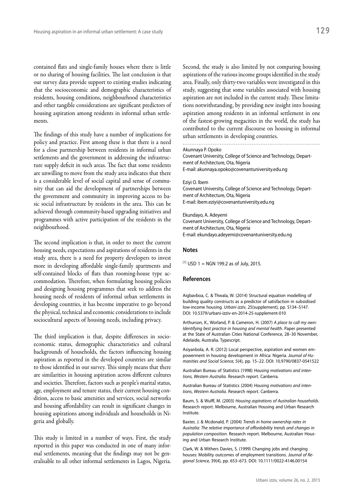contained flats and single-family houses where there is little or no sharing of housing facilities. The last conclusion is that our survey data provide support to existing studies indicating that the socioeconomic and demographic characteristics of residents, housing conditions, neighbourhood characteristics and other tangible considerations are significant predictors of housing aspiration among residents in informal urban settlements.

The findings of this study have a number of implications for policy and practice. First among these is that there is a need for a close partnership between residents in informal urban settlements and the government in addressing the infrastructure supply deficit in such areas. The fact that some residents are unwilling to move from the study area indicates that there is a considerable level of social capital and sense of community that can aid the development of partnerships between the government and community in improving access to basic social infrastructure by residents in the area. This can be achieved through community-based upgrading initiatives and programmes with active participation of the residents in the neighbourhood.

The second implication is that, in order to meet the current housing needs, expectations and aspirations of residents in the study area, there is a need for property developers to invest more in developing affordable single-family apartments and self-contained blocks of flats than rooming-house type accommodation. Therefore, when formulating housing policies and designing housing programmes that seek to address the housing needs of residents of informal urban settlements in developing countries, it has become imperative to go beyond the physical, technical and economic considerations to include sociocultural aspects of housing needs, including privacy.

The third implication is that, despite differences in socioeconomic status, demographic characteristics and cultural backgrounds of households, the factors influencing housing aspiration as reported in the developed countries are similar to those identified in our survey. This simply means that there are similarities in housing aspiration across different cultures and societies. Therefore, factors such as people's marital status, age, employment and tenure status, their current housing condition, access to basic amenities and services, social networks and housing affordability can result in significant changes in housing aspirations among individuals and households in Nigeria and globally.

This study is limited in a number of ways. First, the study reported in this paper was conducted in one of many informal settlements, meaning that the findings may not be generalisable to all other informal settlements in Lagos, Nigeria.

Second, the study is also limited by not comparing housing aspirations of the various income groups identified in the study area. Finally, only thirty-two variables were investigated in this study, suggesting that some variables associated with housing aspiration are not included in the current study. These limitations notwithstanding, by providing new insight into housing aspiration among residents in an informal settlement in one of the fastest-growing megacities in the world, the study has contributed to the current discourse on housing in informal urban settlements in developing countries.

Akunnaya P. Opoko

Covenant University, College of Science and Technology, Department of Architecture, Ota, Nigeria E-mail: akunnaya.opoko@covenantuniversity.edu.ng

#### Eziyi O. Ibem

Covenant University, College of Science and Technology, Department of Architecture, Ota, Nigeria E-mail: ibem.eziyi@covenantuniversity.edu.ng

#### Ekundayo, A. Adeyemi

Covenant University, College of Science and Technology, Department of Architecture, Ota, Nigeria E-mail: ekundayo.adeyemi@covenantuniversity.edu.ng

#### **Notes**

 $[1]$  USD 1 = NGN 199.2 as of July, 2015.

#### **References**

Aigbavboa, C. & Thwala, W. (2014) Structural equation modelling of building quality constructs as a predictor of satisfaction in subsidised low-income housing. *Urbani izziv*, 25(supplement), pp. S134–S147. DOI: 10.5379/urbani-izziv-en-2014-25-supplement-010

Arthurson, K., Worland, P. & Cameron, H. (2007) *A place to call my own: Identifying best practice in housing and mental health*. Paper presented at the State of Australian Cities National Conference, 28–30 November, Adelaide, Australia. Typescript.

Asiyanbola, A. R. (2012) Local perspective, aspiration and women empowerment in housing development in Africa: Nigeria. *Journal of Humanities and Social Science,* 5(4), pp. 15–22. DOI: 10.9790/0837-0541522

Australian Bureau of Statistics (1998) *Housing motivations and intentions, Western Australia.* Research report. Canberra.

Australian Bureau of Statistics (2004) *Housing motivations and intentions*, *Western Australia.* Research report. Canberra.

Baum, S. & Wulff, M. (2003) *Housing aspirations of Australian households*. Research report. Melbourne, Australian Housing and Urban Research Institute.

Baxter, J. & Mcdonald, P. (2004) *Trends in home ownership rates in Australia: The relative importance of affordability trends and changes in population composition*. Research report. Melbourne, Australian Housing and Urban Research Institute.

Clark, W. & Withers Davies, S. (1999) Changing jobs and changing houses: Mobility outcomes of employment transitions. *Journal of Regional Science,* 39(4), pp. 653–673. DOI: 10.1111/0022-4146.00154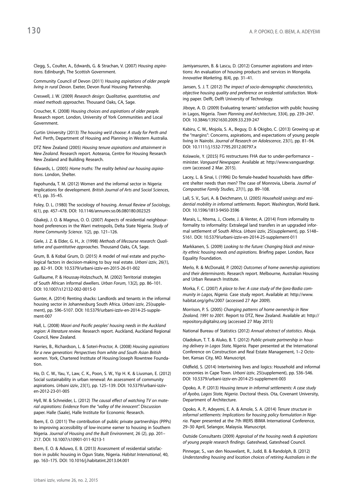Clegg, S., Coulter, A., Edwards, G. & Strachan, V. (2007) *Housing aspirations.* Edinburgh, The Scottish Government.

Community Council of Devon (2011) *Housing aspirations of older people living in rural Devon*. Exeter, Devon Rural Housing Partnership.

Creswell, J. W. (2009) *Research design: Qualitative, quantitative, and mixed methods approaches*. Thousand Oaks, CA, Sage.

Croucher, K. (2008) *Housing choices and aspirations of older people.*  Research report. London, University of York Communities and Local Government.

Curtin University (2013) *The housing we'd choose: A study for Perth and Peel.* Perth, Department of Housing and Planning in Western Australia.

DTZ New Zealand (2005) *Housing tenure aspirations and attainment in New Zealand*. Research report. Aotearoa, Centre for Housing Research New Zealand and Building Research.

Edwards, L. (2005) *Home truths: The reality behind our housing aspirations*. London, Shelter.

Fapohunda, T. M. (2012) Women and the informal sector in Nigeria: Implications for development. *British Journal of Arts and Social Sciences*, 4(1), pp. 35–45.

Foley, D. L. (1980) The sociology of housing. *Annual Review of Sociology*, 6(1), pp. 457–478. DOI: 10.1146/annurev.so.06.080180.002325

Gbakeji, J. O. & Magnus, O. O. (2007) Aspects of residential neighbourhood preferences in the Warri metropolis, Delta State Nigeria. *Study of Home Community Science*. 1(2), pp. 121–126.

Giele, J. Z. & Elder, G. H., Jr. (1998) *Methods of lifecourse research: Qualitative and quantitative approaches*. Thousand Oaks, CA, Sage.

Grum, B. & Kobal Grum, D. (2015) A model of real estate and psychological factors in decision-making to buy real estate. *Urbani izziv*, 26(1), pp. 82–91. DOI: 10.5379/urbani-izziv-en-2015-26-01-002

Guillaume, P. & Houssay-Holzschuch, M. (2002) Territorial strategies of South African informal dwellers. *Urban Forum*, 13(2), pp. 86–101. DOI: 10.1007/s12132-002-0015-0

Gunter, A. (2014) Renting shacks: Landlords and tenants in the informal housing sector in Johannesburg South Africa. *Urbani izziv*, 25(supplement), pp. S96–S107. DOI: 10.5379/urbani-izziv-en-2014-25-supplement-007

Hall, L. (2008) *Maori and Pacific peoples' housing needs in the Auckland region: A literature review.* Research report. Auckland, Auckland Regional Council, New Zealand.

Harries, B., Richardson, L. & Soteri-Proctor, A. (2008) *Housing aspirations for a new generation: Perspectives from white and South Asian British women.* York, Chartered Institute of Housing/Joseph Rowntree Foundation.

Ho, D. C. W., Yau, Y., Law, C. K., Poon, S. W., Yip H. K. & Liusman, E. (2012) Social sustainability in urban renewal: An assessment of community aspirations. *Urbani izziv*, 23(1), pp. 125–139. DOI: 10.5379/urbani-izziven-2012-23-01-005

Hyll, W. & Schneider, L. (2012) *The causal effect of watching TV on material aspirations: Evidence from the "valley of the innocent".* Discussion paper. Halle (Saale), Halle Institute for Economic Research.

Ibem, E. O. (2011) The contribution of public private partnerships (PPPs) to improving accessibility of low-income earner to housing in Southern Nigeria. *Journal of Housing and the Built Environment*, 26 (2), pp. 201– 217. DOI: 10.1007/s10901-011-9213-1

Ibem, E. O. & Aduwo, E. B. (2013) Assessment of residential satisfaction in public housing in Ogun State, Nigeria. *Habitat International*, 40, pp. 163–175. DOI: 10.1016/j.habitatint.2013.04.001

Jamiyansuren, B. & Lascu, D. (2012) Consumer aspirations and intentions: An evaluation of housing products and services in Mongolia. *Innovative Marketing,* 8(4), pp. 31–41.

Jansen, S. J. T. (2012) *The impact of socio-demographic characteristics, objective housing quality and preference on residential satisfaction*. Working paper. Delft, Delft University of Technology.

Jiboye, A. D. (2009) Evaluating tenants' satisfaction with public housing in Lagos, Nigeria. *Town Planning and Architecture*, 33(4), pp. 239–247. DOI: 10.3846/13921630.2009.33.239-247

Kabiru, C. W., Mojola, S. A., Beguy, D. & Okigbo, C. (2013) Growing up at the "margins": Concerns, aspirations, and expectations of young people living in Nairobi. *Journal of Research on Adolescence*, 23(1), pp. 81–94. DOI: 10.1111/j.1532-7795.2012.00797.x

Kolawole, Y. (2015) FG restructures FHA due to under-performance – minister. *Vanguard Newspaper*. Available at: http://www.vanguardngr. com (accessed 2 Mar. 2015).

Lacey, L. & Sinai, I. (1996) Do female-headed households have different shelter needs than men? The case of Monrovia, Liberia. *Journal of Comparative Family Studies*, 27(1), pp. 89–108.

Lall, S. V., Suri, A. & Deichmann, U. (2005) *Household savings and residential mobility in informal settlements.* Report*.* Washington, World Bank. DOI: 10.1596/1813-9450-3596

Marais, L., Ntema, J., Cloete, J. & Venter, A. (2014) From informality to formality to informality: Extralegal land transfers in an upgraded informal settlement of South Africa. *Urbani izziv*, 25(supplement), pp. S148– S161. DOI: 10.5379/urbani-izziv-en-2014-25-supplement-011

Markkanen, S. (2009) *Looking to the future: Changing black and minority ethnic housing needs and aspirations.* Briefing paper. London, Race Equality Foundation.

Merlo, R. & McDonald, P. (2002) *Outcomes of home ownership aspirations and their determinants*. Research report. Melbourne, Australian Housing and Urban Research Institute.

Morka, F. C. (2007) *A place to live: A case study of the Ijora-Badia community in Lagos, Nigeria.* Case study report. Available at: http://www. habitat.org/grhs/2007 (accessed 27 Apr 2009).

Morrison, P. S. (2005) *Changing patterns of home ownership in New Zealand, 1991 to 2001.* Report to DTZ, New Zealand. Available at: http:// repository.digitalnz.org (accessed 27 May 2015)

National Bureau of Statistics (2012) *Annual abstract of statistics*. Abuja.

Oladokun, T. T. & Aluko, B. T. (2012) *Public-private partnership in housing delivery in Lagos State, Nigeria*. Paper presented at the International Conference on Construction and Real Estate Management, 1–2 October, Kansas City, MO. Manuscript.

Oldfield, S. (2014) Intertwining lives and logics: Household and informal economies in Cape Town. *Urbani izziv*, 25(supplement), pp. S36–S46. DOI: 10.5379/urbani-izziv-en-2014-25-supplement-003

Opoko, A. P. (2013) *Housing tenure in informal settlements: A case study of Ayobo, Lagos State, Nigeria*. Doctoral thesis. Ota, Covenant University, Department of Architecture.

Opoko, A. P., Adeyemi, E. A. & Amole, S. A. (2014) *Tenure structure in informal settlements: Implications for housing policy formulation in Nigeria*. Paper presented at the 7th IRERS IBIMA International Conference, 29–30 April, Selangor, Malaysia. Manuscript.

Outside Consultants (2009) *Appraisal of the housing needs & aspirations of young people research findings.* Gateshead, Gateshead Council.

Pinnegar, S., van den Nouwelant, R., Judd, B. & Randolph, B. (2012) *Understanding housing and location choices of retiring Australians in the*